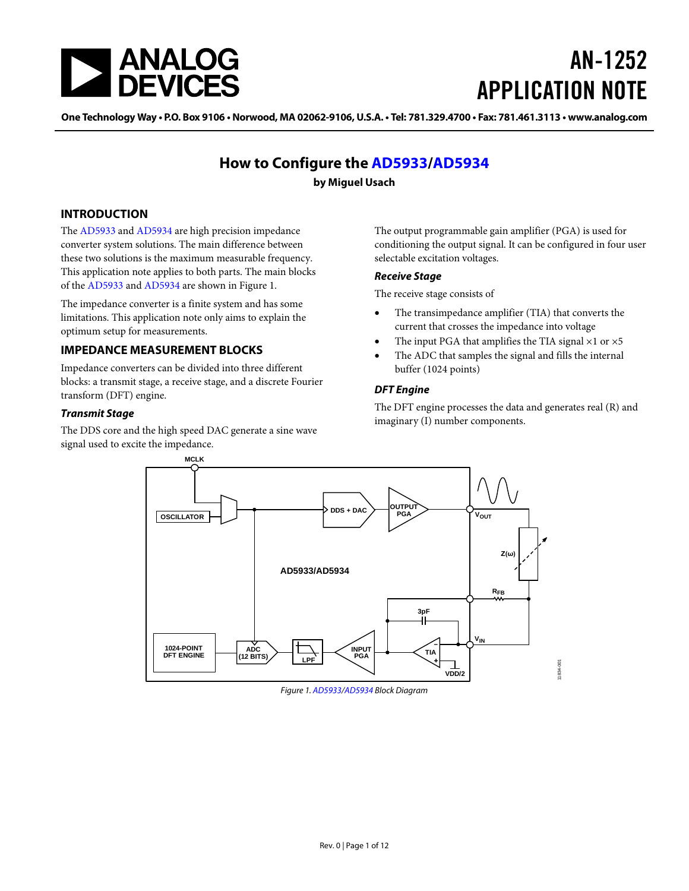

# AN-1252 APPLICATION NOTE

One [Technology](www.analog.com) Way • P.O. Box 9106 • Norwood, MA 02062-9106, U.S.A. • Tel: 781.329.4700 • Fax: 781.461.3113 • www.analog.com

# **How to Configure the [AD5933/](http://www.analog.com/ad5933?doc=an-1252.pdf)[AD5934](http://www.analog.com/ad5934?doc=an-1252.pdf)**

## **by Miguel Usach**

## <span id="page-0-1"></span>**INTRODUCTION**

The [AD5933](http://www.analog.com/ad5933?doc=an-1252.pdf) an[d AD5934](http://www.analog.com/ad5934?doc=an-1252.pdf) are high precision impedance converter system solutions. The main difference between these two solutions is the maximum measurable frequency. This application note applies to both parts. The main blocks of the [AD5933](http://www.analog.com/ad5933?doc=an-1252.pdf) an[d AD5934](http://www.analog.com/ad5934?doc=an-1252.pdf) are shown in [Figure 1.](#page-0-0)

The impedance converter is a finite system and has some limitations. This application note only aims to explain the optimum setup for measurements.

## <span id="page-0-2"></span>**IMPEDANCE MEASUREMENT BLOCKS**

Impedance converters can be divided into three different blocks: a transmit stage, a receive stage, and a discrete Fourier transform (DFT) engine.

### *Transmit Stage*

The DDS core and the high speed DAC generate a sine wave signal used to excite the impedance.

The output programmable gain amplifier (PGA) is used for conditioning the output signal. It can be configured in four user selectable excitation voltages.

### *Receive Stage*

The receive stage consists of

- The transimpedance amplifier (TIA) that converts the current that crosses the impedance into voltage
- The input PGA that amplifies the TIA signal  $\times$ 1 or  $\times$ 5
- The ADC that samples the signal and fills the internal buffer (1024 points)

### *DFT Engine*

The DFT engine processes the data and generates real (R) and imaginary (I) number components.



<span id="page-0-0"></span>*Figure 1[. AD5933/](http://www.analog.com/ad5933?doc=an-1252.pdf)[AD5934](http://www.analog.com/ad5934?doc=an-1252.pdf) Block Diagram*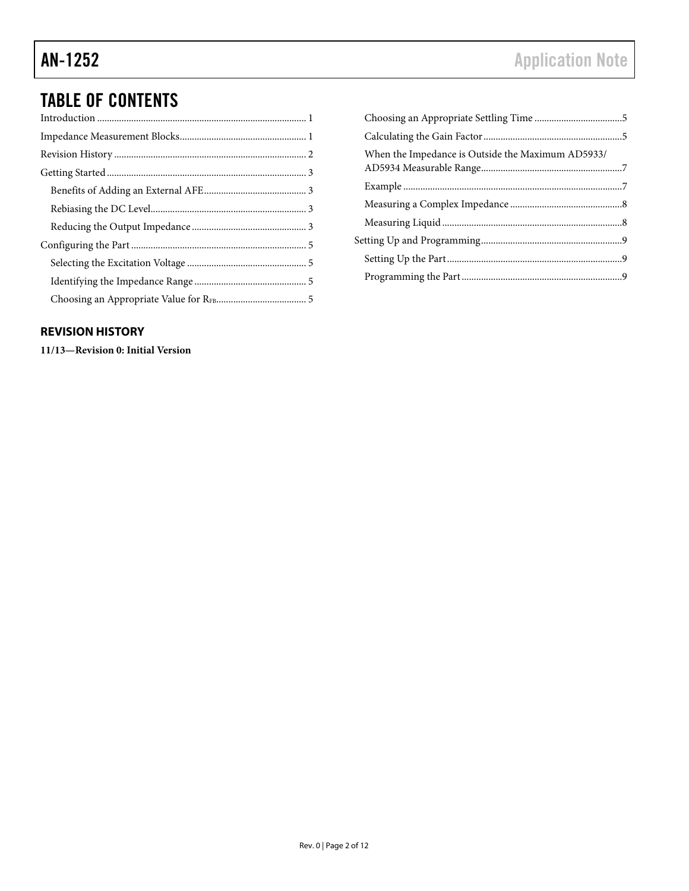# TABLE OF CONTENTS

| When the Impedance is Outside the Maximum AD5933/ |  |
|---------------------------------------------------|--|
|                                                   |  |
|                                                   |  |
|                                                   |  |
|                                                   |  |
|                                                   |  |
|                                                   |  |
|                                                   |  |

# <span id="page-1-0"></span>**REVISION HISTORY**

**11/13—Revision 0: Initial Version**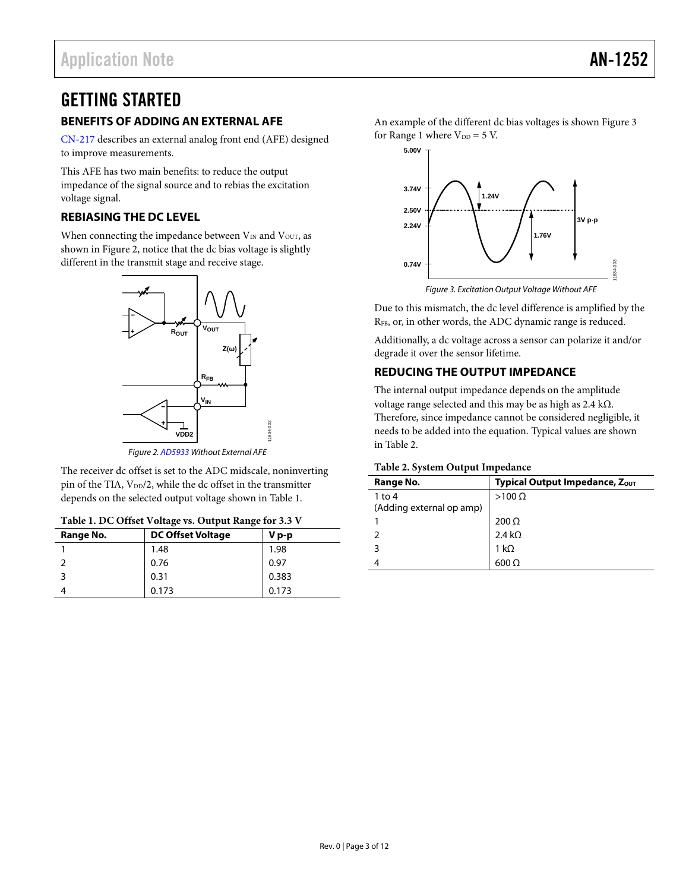# <span id="page-2-0"></span>GETTING STARTED

# <span id="page-2-1"></span>**BENEFITS OF ADDING AN EXTERNAL AFE**

[CN-217](http://www.analog.com/CN0217?doc=an-1252.pdf) describes an external analog front end (AFE) designed to improve measurements.

This AFE has two main benefits: to reduce the output impedance of the signal source and to rebias the excitation voltage signal.

# <span id="page-2-2"></span>**REBIASING THE DC LEVEL**

When connecting the impedance between  $V_{IN}$  and  $V_{OUT}$ , as shown in [Figure 2,](#page-2-4) notice that the dc bias voltage is slightly different in the transmit stage and receive stage.



*Figure 2[. AD5933](http://www.analog.com/ad5933?doc=an-1252.pdf) Without External AFE*

<span id="page-2-4"></span>The receiver dc offset is set to the ADC midscale, noninverting pin of the TIA,  $V_{DD}/2$ , while the dc offset in the transmitter depends on the selected output voltage shown i[n Table 1.](#page-2-5)

<span id="page-2-5"></span>

| Table 1. DC Offset Voltage vs. Output Range for 3.3 V |  |
|-------------------------------------------------------|--|
|-------------------------------------------------------|--|

| Range No. | <b>DC Offset Voltage</b> | $V_{p-p}$ |
|-----------|--------------------------|-----------|
|           | 1.48                     | 1.98      |
|           | 0.76                     | 0.97      |
|           | 0.31                     | 0.383     |
|           | 0.173                    | 0.173     |

An example of the different dc bias voltages is shown [Figure 3](#page-2-6) for Range 1 where  $V_{DD} = 5$  V.



*Figure 3. Excitation Output Voltage Without AFE*

<span id="page-2-6"></span>Due to this mismatch, the dc level difference is amplified by the RFB, or, in other words, the ADC dynamic range is reduced.

Additionally, a dc voltage across a sensor can polarize it and/or degrade it over the sensor lifetime.

# <span id="page-2-3"></span>**REDUCING THE OUTPUT IMPEDANCE**

The internal output impedance depends on the amplitude voltage range selected and this may be as high as 2.4 kΩ. Therefore, since impedance cannot be considered negligible, it needs to be added into the equation. Typical values are shown i[n Table 2.](#page-2-7)

### <span id="page-2-7"></span>**Table 2. System Output Impedance**

| Range No.                | Typical Output Impedance, Zout |
|--------------------------|--------------------------------|
| $1$ to $4$               | $>100 \Omega$                  |
| (Adding external op amp) |                                |
|                          | $200 \Omega$                   |
|                          | 2.4 k $\Omega$                 |
| ঽ                        | 1 k $\Omega$                   |
|                          | 600 O                          |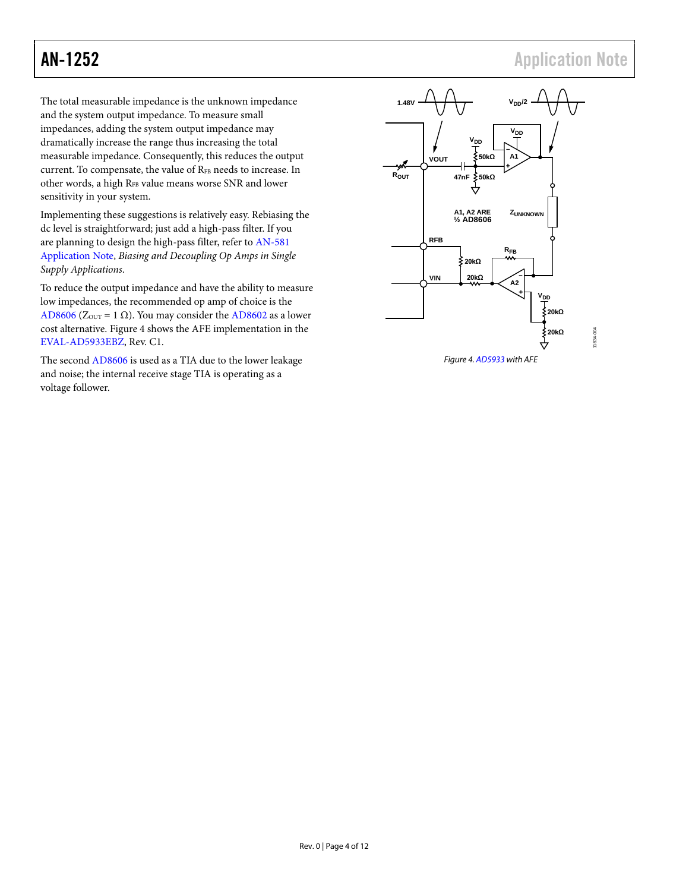1834-004 11834-004

The total measurable impedance is the unknown impedance and the system output impedance. To measure small impedances, adding the system output impedance may dramatically increase the range thus increasing the total measurable impedance. Consequently, this reduces the output current. To compensate, the value of RFB needs to increase. In other words, a high RFB value means worse SNR and lower sensitivity in your system.

Implementing these suggestions is relatively easy. Rebiasing the dc level is straightforward; just add a high-pass filter. If you are planning to design the high-pass filter, refer to [AN-581](http://www.analog.com/AN-581?doc=an-1252.pdf) Application Note, *Biasing and Decoupling Op Amps in Single Supply Applications*.

To reduce the output impedance and have the ability to measure low impedances, the recommended op amp of choice is the [AD8606](http://www.analog.com/ad8606?doc=an-1252.pdf) (Z<sub>OUT</sub> = 1  $\Omega$ ). You may consider th[e AD8602](http://www.analog.com/ad8602?doc=an-1252.pdf) as a lower cost alternative[. Figure 4](#page-3-0) shows the AFE implementation in the [EVAL-AD5933EBZ,](http://www.analog.com/eval-ad5933ebz?doc=an-1252.pdf) Rev. C1.

The second [AD8606](http://www.analog.com/ad8606?doc=an-1252.pdf) is used as a TIA due to the lower leakage and noise; the internal receive stage TIA is operating as a voltage follower.



<span id="page-3-0"></span>*Figure 4[. AD5933](http://www.analog.com/ad5933?doc=an-1252.pdf) with AFE*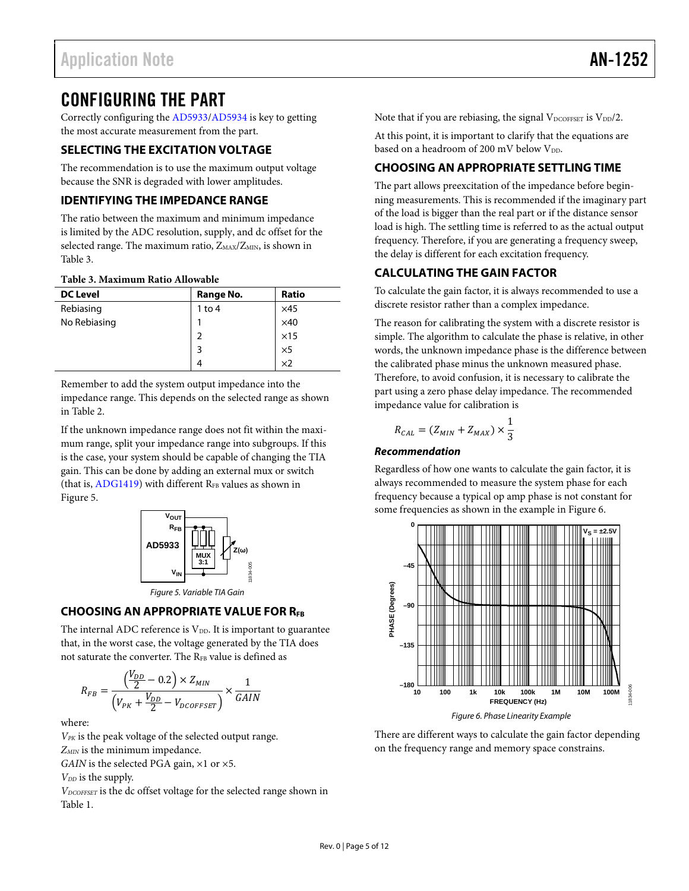# <span id="page-4-0"></span>CONFIGURING THE PART

Correctly configuring the [AD5933/](http://www.analog.com/ad5933?doc=an-1252.pdf)[AD5934](http://www.analog.com/ad5934?doc=an-1252.pdf) is key to getting the most accurate measurement from the part.

# <span id="page-4-1"></span>**SELECTING THE EXCITATION VOLTAGE**

The recommendation is to use the maximum output voltage because the SNR is degraded with lower amplitudes.

# <span id="page-4-2"></span>**IDENTIFYING THE IMPEDANCE RANGE**

The ratio between the maximum and minimum impedance is limited by the ADC resolution, supply, and dc offset for the selected range. The maximum ratio,  $Z_{MAX}/Z_{MIN}$ , is shown in [Table 3.](#page-4-6)

### <span id="page-4-6"></span>**Table 3. Maximum Ratio Allowable**

| <b>DC Level</b> | Range No.      | <b>Ratio</b> |
|-----------------|----------------|--------------|
| Rebiasing       | $1$ to $4$     | $\times$ 45  |
| No Rebiasing    |                | $\times$ 40  |
|                 | $\overline{2}$ | $\times$ 15  |
|                 | 3              | $\times$ 5   |
|                 |                | $\times 2$   |

Remember to add the system output impedance into the impedance range. This depends on the selected range as shown in [Table 2.](#page-2-7)

If the unknown impedance range does not fit within the maximum range, split your impedance range into subgroups. If this is the case, your system should be capable of changing the TIA gain. This can be done by adding an external mux or switch (that is,  $ADG1419$ ) with different  $R_{FB}$  values as shown in [Figure 5.](#page-4-7)



# <span id="page-4-7"></span><span id="page-4-3"></span>**CHOOSING AN APPROPRIATE VALUE FOR RFB**

The internal ADC reference is  $V_{DD}$ . It is important to guarantee that, in the worst case, the voltage generated by the TIA does not saturate the converter. The R<sub>FB</sub> value is defined as

$$
R_{FB} = \frac{\left(\frac{V_{DD}}{2} - 0.2\right) \times Z_{MIN}}{\left(V_{PK} + \frac{V_{DD}}{2} - V_{DCOFFSET}\right)} \times \frac{1}{GAIN}
$$

where:

*VPK* is the peak voltage of the selected output range. *ZMIN* is the minimum impedance.

*GAIN* is the selected PGA gain, ×1 or ×5.

*VDD* is the supply.

*VDCOFFSET* is the dc offset voltage for the selected range shown in [Table 1.](#page-2-5)

Note that if you are rebiasing, the signal  $V_{\text{DCOFFSET}}$  is  $V_{\text{DD}}/2$ .

At this point, it is important to clarify that the equations are based on a headroom of 200 mV below  $V_{DD}$ .

# <span id="page-4-4"></span>**CHOOSING AN APPROPRIATE SETTLING TIME**

The part allows preexcitation of the impedance before beginning measurements. This is recommended if the imaginary part of the load is bigger than the real part or if the distance sensor load is high. The settling time is referred to as the actual output frequency. Therefore, if you are generating a frequency sweep, the delay is different for each excitation frequency.

# <span id="page-4-5"></span>**CALCULATING THE GAIN FACTOR**

To calculate the gain factor, it is always recommended to use a discrete resistor rather than a complex impedance.

The reason for calibrating the system with a discrete resistor is simple. The algorithm to calculate the phase is relative, in other words, the unknown impedance phase is the difference between the calibrated phase minus the unknown measured phase.

Therefore, to avoid confusion, it is necessary to calibrate the part using a zero phase delay impedance. The recommended impedance value for calibration is

$$
R_{CAL} = (Z_{MIN} + Z_{MAX}) \times \frac{1}{3}
$$

### *Recommendation*

Regardless of how one wants to calculate the gain factor, it is always recommended to measure the system phase for each frequency because a typical op amp phase is not constant for some frequencies as shown in the example i[n Figure 6.](#page-4-8)



<span id="page-4-8"></span>There are different ways to calculate the gain factor depending on the frequency range and memory space constrains.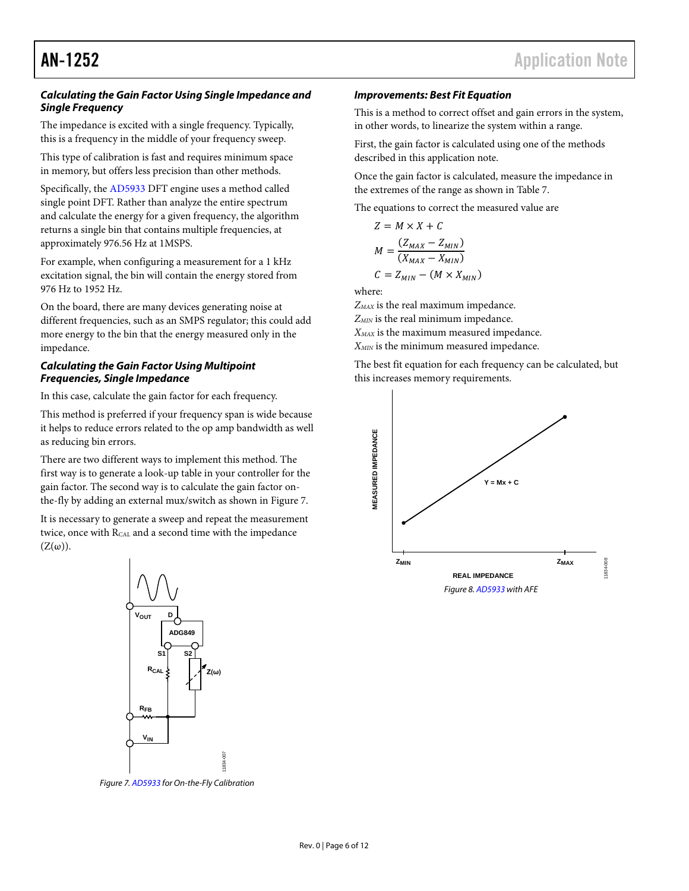### *Calculating the Gain Factor Using Single Impedance and Single Frequency*

The impedance is excited with a single frequency. Typically, this is a frequency in the middle of your frequency sweep.

This type of calibration is fast and requires minimum space in memory, but offers less precision than other methods.

Specifically, th[e AD5933](http://www.analog.com/ad5933?doc=an-1252.pdf) DFT engine uses a method called single point DFT. Rather than analyze the entire spectrum and calculate the energy for a given frequency, the algorithm returns a single bin that contains multiple frequencies, at approximately 976.56 Hz at 1MSPS.

For example, when configuring a measurement for a 1 kHz excitation signal, the bin will contain the energy stored from 976 Hz to 1952 Hz.

On the board, there are many devices generating noise at different frequencies, such as an SMPS regulator; this could add more energy to the bin that the energy measured only in the impedance.

## *Calculating the Gain Factor Using Multipoint Frequencies, Single Impedance*

In this case, calculate the gain factor for each frequency.

This method is preferred if your frequency span is wide because it helps to reduce errors related to the op amp bandwidth as well as reducing bin errors.

There are two different ways to implement this method. The first way is to generate a look-up table in your controller for the gain factor. The second way is to calculate the gain factor onthe-fly by adding an external mux/switch as shown i[n Figure 7.](#page-5-0)

It is necessary to generate a sweep and repeat the measurement twice, once with R<sub>CAL</sub> and a second time with the impedance  $(Z(\omega))$ .



<span id="page-5-0"></span>*Figure 7[. AD5933](http://www.analog.com/ad5933?doc=an-1252.pdf) for On-the-Fly Calibration*

### *Improvements: Best Fit Equation*

This is a method to correct offset and gain errors in the system, in other words, to linearize the system within a range.

First, the gain factor is calculated using one of the methods described in this application note.

Once the gain factor is calculated, measure the impedance in the extremes of the range as shown i[n Table 7.](#page-10-0)

The equations to correct the measured value are

$$
Z = M \times X + C
$$
  

$$
M = \frac{(Z_{MAX} - Z_{MIN})}{(X_{MAX} - X_{MIN})}
$$
  

$$
C = Z_{MIN} - (M \times X_{MIN})
$$

where:

*ZMAX* is the real maximum impedance.

*ZMIN* is the real minimum impedance.

*XMAX* is the maximum measured impedance.

*XMIN* is the minimum measured impedance.

The best fit equation for each frequency can be calculated, but this increases memory requirements.

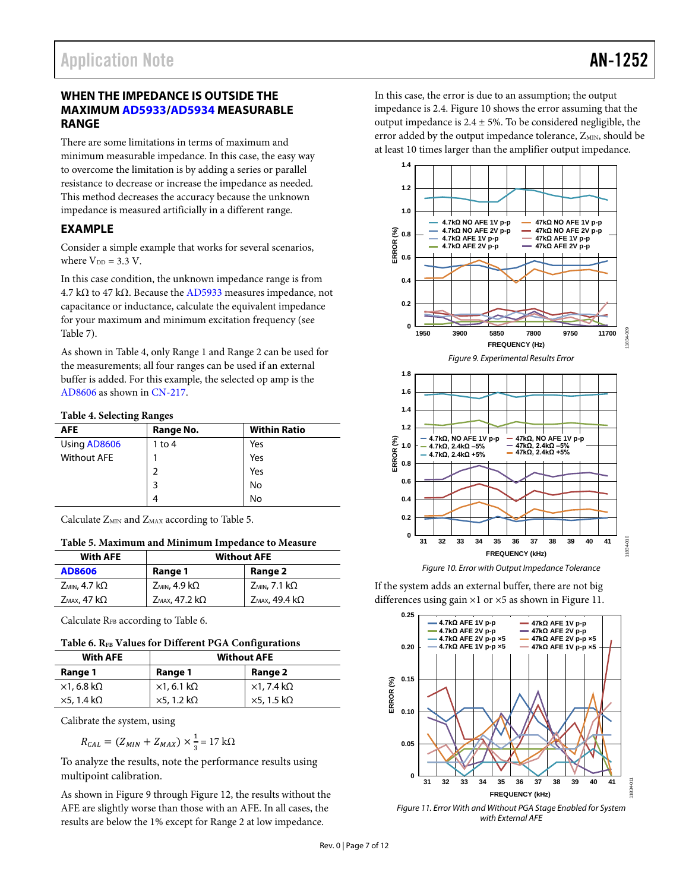# <span id="page-6-0"></span>**WHEN THE IMPEDANCE IS OUTSIDE THE MAXIMU[M AD5933](http://www.analog.com/ad5933?doc=an-1252.pdf)[/AD5934](http://www.analog.com/ad5934?doc=an-1252.pdf) MEASURABLE RANGE**

There are some limitations in terms of maximum and minimum measurable impedance. In this case, the easy way to overcome the limitation is by adding a series or parallel resistance to decrease or increase the impedance as needed. This method decreases the accuracy because the unknown impedance is measured artificially in a different range.

# <span id="page-6-1"></span>**EXAMPLE**

Consider a simple example that works for several scenarios, where  $V_{DD} = 3.3 V$ .

In this case condition, the unknown impedance range is from 4.7 kΩ to 47 kΩ. Because th[e AD5933](http://www.analog.com/ad5933?doc=an-1252.pdf) measures impedance, not capacitance or inductance, calculate the equivalent impedance for your maximum and minimum excitation frequency (see [Table 7\)](#page-10-0).

As shown in [Table 4,](#page-6-2) only Range 1 and Range 2 can be used for the measurements; all four ranges can be used if an external buffer is added. For this example, the selected op amp is the [AD8606](http://www.analog.com/ad8606?doc=an-1252.pdf) as shown i[n CN-217.](http://www.analog.com/CN0217?doc=an-1252.pdf)

### <span id="page-6-2"></span>**Table 4. Selecting Ranges**

| <b>AFE</b>         | Range No. | <b>Within Ratio</b> |
|--------------------|-----------|---------------------|
| Using AD8606       | 1 to $4$  | Yes                 |
| <b>Without AFE</b> |           | Yes                 |
|                    | 2         | Yes                 |
|                    | 3         | No                  |
|                    | Δ         | No                  |

Calculate  $Z_{MIN}$  and  $Z_{MAX}$  according to [Table 5.](#page-6-3)

### <span id="page-6-3"></span>**Table 5. Maximum and Minimum Impedance to Measure**

| <b>With AFE</b>            | <b>Without AFE</b>          |                             |
|----------------------------|-----------------------------|-----------------------------|
| AD8606                     | Range 1                     | Range 2                     |
| $Z_{MIN}$ , 4.7 k $\Omega$ | $Z_{MIN}$ , 4.9 k $\Omega$  | $Z_{MIN}$ , 7.1 k $\Omega$  |
| $Z_{MAX}$ , 47 k $\Omega$  | $Z_{MAX}$ , 47.2 k $\Omega$ | $Z_{MAX}$ , 49.4 k $\Omega$ |

Calculate  $R_{FB}$  according t[o Table 6.](#page-6-4)

### <span id="page-6-4"></span>**Table 6. RFB Values for Different PGA Configurations**

| <b>With AFE</b>            | <b>Without AFE</b>         |                            |
|----------------------------|----------------------------|----------------------------|
| Range 1                    | Range 1                    | Range 2                    |
| $\times$ 1, 6.8 k $\Omega$ | $\times$ 1, 6.1 k $\Omega$ | $\times$ 1, 7.4 k $\Omega$ |
| $\times$ 5, 1.4 k $\Omega$ | $\times$ 5, 1.2 k $\Omega$ | $\times$ 5, 1.5 k $\Omega$ |

Calibrate the system, using

$$
R_{CAL} = (Z_{MIN} + Z_{MAX}) \times \frac{1}{3} = 17 \text{ k}\Omega
$$

To analyze the results, note the performance results using multipoint calibration.

As shown in [Figure 9](#page-6-5) throug[h Figure 12,](#page-7-2) the results without the AFE are slightly worse than those with an AFE. In all cases, the results are below the 1% except for Range 2 at low impedance.

In this case, the error is due to an assumption; the output impedance is 2.4[. Figure 10](#page-6-6) shows the error assuming that the output impedance is  $2.4 \pm 5$ %. To be considered negligible, the error added by the output impedance tolerance, ZMIN, should be at least 10 times larger than the amplifier output impedance.

<span id="page-6-5"></span>

*Figure 10. Error with Output Impedance Tolerance*

<span id="page-6-6"></span>If the system adds an external buffer, there are not big differences using gain ×1 or ×5 as shown i[n Figure 11.](#page-6-7)



<span id="page-6-7"></span>*Figure 11. Error With and Without PGA Stage Enabled for System with External AFE*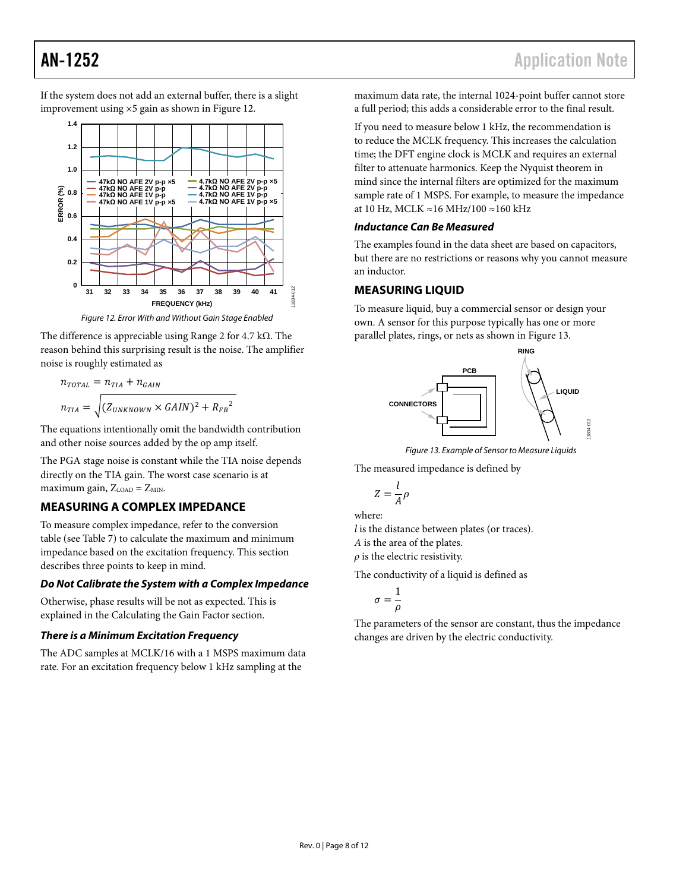If the system does not add an external buffer, there is a slight improvement using ×5 gain as shown i[n Figure 12.](#page-7-2)



*Figure 12. Error With and Without Gain Stage Enabled*

<span id="page-7-2"></span>The difference is appreciable using Range 2 for 4.7 kΩ. The reason behind this surprising result is the noise. The amplifier noise is roughly estimated as

$$
n_{\text{total}} = n_{\text{IIA}} + n_{\text{GAN}}
$$
\n
$$
n_{\text{IIA}} = \sqrt{(Z_{\text{UNKNOWN}} \times \text{GAN})^2 + {R_{\text{FB}}}^2}
$$

The equations intentionally omit the bandwidth contribution and other noise sources added by the op amp itself.

The PGA stage noise is constant while the TIA noise depends directly on the TIA gain. The worst case scenario is at maximum gain,  $Z_{\text{LOAD}} = Z_{\text{MIN}}$ .

# <span id="page-7-0"></span>**MEASURING A COMPLEX IMPEDANCE**

To measure complex impedance, refer to the conversion table (se[e Table 7\)](#page-10-0) to calculate the maximum and minimum impedance based on the excitation frequency. This section describes three points to keep in mind.

# *Do Not Calibrate the System with a Complex Impedance*

Otherwise, phase results will be not as expected. This is explained in the Calculating [the Gain Factor](#page-4-5) section.

# *There is a Minimum Excitation Frequency*

The ADC samples at MCLK/16 with a 1 MSPS maximum data rate. For an excitation frequency below 1 kHz sampling at the

maximum data rate, the internal 1024-point buffer cannot store a full period; this adds a considerable error to the final result.

If you need to measure below 1 kHz, the recommendation is to reduce the MCLK frequency. This increases the calculation time; the DFT engine clock is MCLK and requires an external filter to attenuate harmonics. Keep the Nyquist theorem in mind since the internal filters are optimized for the maximum sample rate of 1 MSPS. For example, to measure the impedance at 10 Hz, MCLK ≈16 MHz/100 ≈160 kHz

## *Inductance Can Be Measured*

The examples found in the data sheet are based on capacitors, but there are no restrictions or reasons why you cannot measure an inductor.

# <span id="page-7-1"></span>**MEASURING LIQUID**

To measure liquid, buy a commercial sensor or design your own. A sensor for this purpose typically has one or more parallel plates, rings, or nets as shown i[n Figure 13.](#page-7-3)



*Figure 13. Example of Sensor to Measure Liquids*

<span id="page-7-3"></span>The measured impedance is defined by

$$
Z=\frac{l}{A}\rho
$$

where:

*l* is the distance between plates (or traces). *A* is the area of the plates.

 $\rho$  is the electric resistivity.

The conductivity of a liquid is defined as

$$
\sigma = \frac{1}{\rho}
$$

The parameters of the sensor are constant, thus the impedance changes are driven by the electric conductivity.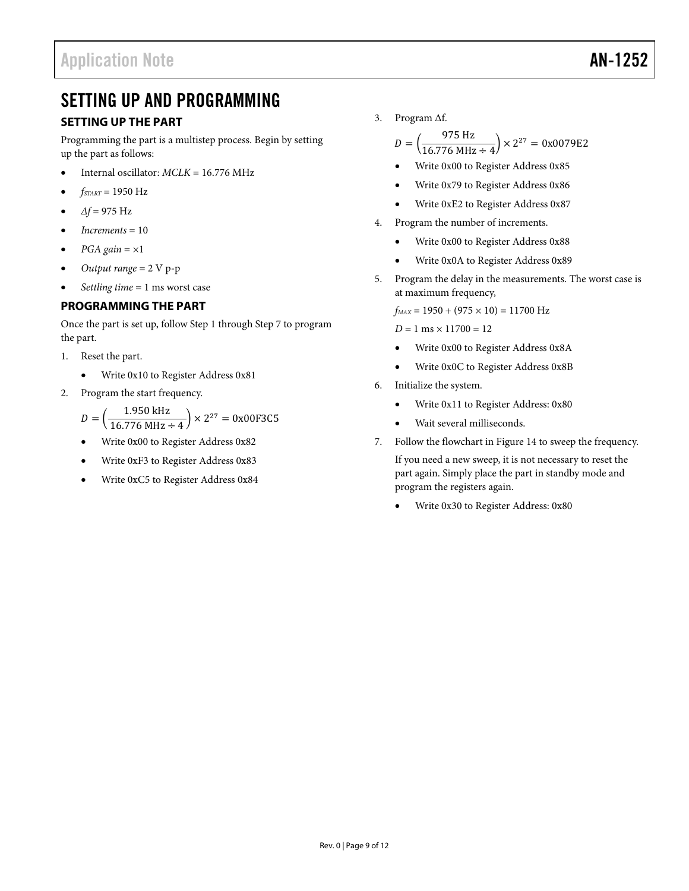# <span id="page-8-0"></span>SETTING UP AND PROGRAMMING

# <span id="page-8-1"></span>**SETTING UP THE PART**

Programming the part is a multistep process. Begin by setting up the part as follows:

- Internal oscillator: *MCLK* = 16.776 MHz
- *fSTART* = 1950 Hz
- *∆f* = 975 Hz
- *Increments* = 10
- $PGA$  gain =  $\times1$
- *Output range* = 2 V p-p
- *Settling time* = 1 ms worst case

# <span id="page-8-2"></span>**PROGRAMMING THE PART**

Once the part is set up, follow Step 1 through Step 7 to program the part.

- 1. Reset the part.
	- Write 0x10 to Register Address 0x81
- 2. Program the start frequency.

$$
D = \left(\frac{1.950 \text{ kHz}}{16.776 \text{ MHz} \div 4}\right) \times 2^{27} = 0x00F3C5
$$

- Write 0x00 to Register Address 0x82
- Write 0xF3 to Register Address 0x83
- Write 0xC5 to Register Address 0x84

3. Program ∆f.

 $D = \left(\frac{975 \text{ Hz}}{16.776 \text{ MHz} \div 4}\right) \times 2^{27} = 0x0079E2$ 

- Write 0x00 to Register Address 0x85
- Write 0x79 to Register Address 0x86
- Write 0xE2 to Register Address 0x87
- 4. Program the number of increments.
	- Write 0x00 to Register Address 0x88
	- Write 0x0A to Register Address 0x89
- 5. Program the delay in the measurements. The worst case is at maximum frequency,

 $f_{MAX} = 1950 + (975 \times 10) = 11700$  Hz

 $D = 1$  ms  $\times$  11700 = 12

- Write 0x00 to Register Address 0x8A
- Write 0x0C to Register Address 0x8B
- 6. Initialize the system.
	- Write 0x11 to Register Address: 0x80
	- Wait several milliseconds.
- 7. Follow the flowchart in [Figure 14](#page-9-0) to sweep the frequency.

If you need a new sweep, it is not necessary to reset the part again. Simply place the part in standby mode and program the registers again.

• Write 0x30 to Register Address: 0x80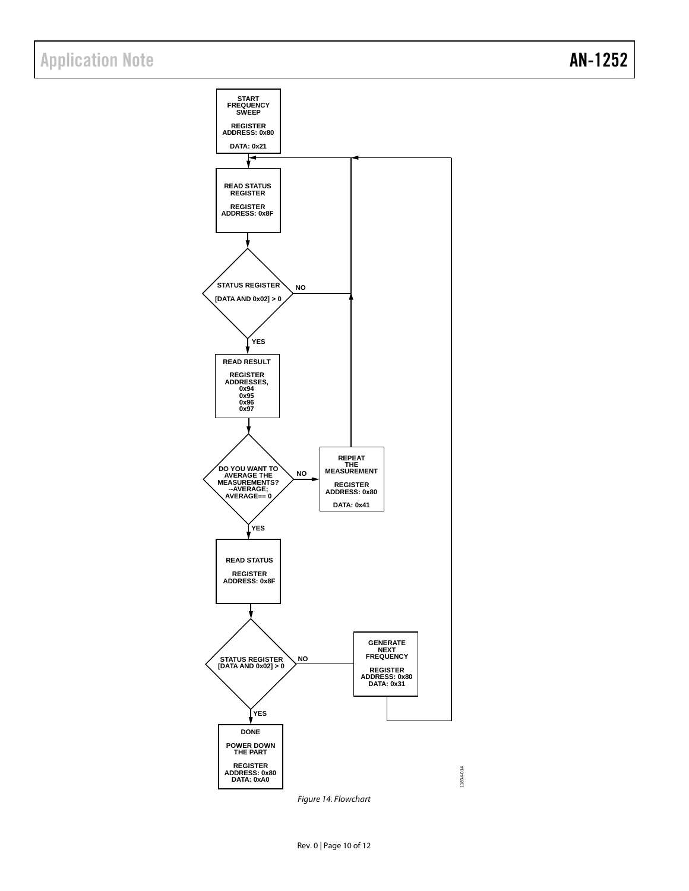

<span id="page-9-0"></span>*Figure 14. Flowchart*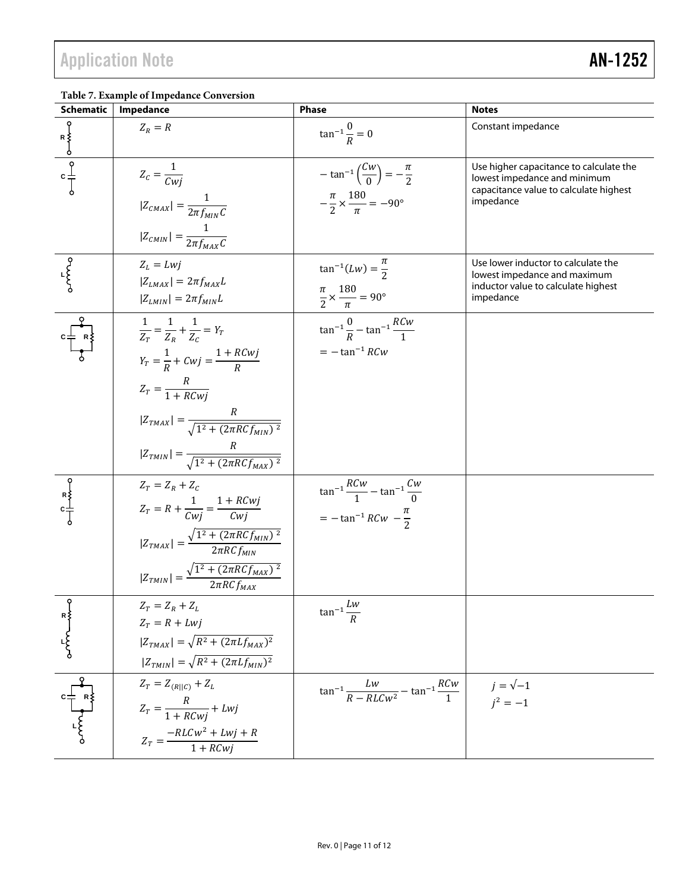<span id="page-10-0"></span>

| <b>Schematic</b>                                                                                                                                                                                                                                                                                                                    | Impedance                                                                                                                                                                                                               | <b>Phase</b>                                                                                                    | <b>Notes</b>                                                                                                                   |
|-------------------------------------------------------------------------------------------------------------------------------------------------------------------------------------------------------------------------------------------------------------------------------------------------------------------------------------|-------------------------------------------------------------------------------------------------------------------------------------------------------------------------------------------------------------------------|-----------------------------------------------------------------------------------------------------------------|--------------------------------------------------------------------------------------------------------------------------------|
| $\begin{array}{c}\n\downarrow \\ \uparrow \\ c \\ \downarrow\n\end{array}$                                                                                                                                                                                                                                                          | $Z_R = R$                                                                                                                                                                                                               | $\tan^{-1} \frac{0}{p} = 0$                                                                                     | Constant impedance                                                                                                             |
|                                                                                                                                                                                                                                                                                                                                     | $Z_c = \frac{1}{Cwi}$<br>$ Z_{CMAX}  = \frac{1}{2\pi f_{MIN}C}$<br>$ Z_{CMIN}  = \frac{1}{2\pi f_{MAX}C}$                                                                                                               | $-\tan^{-1}\left(\frac{Cw}{0}\right) = -\frac{\pi}{2}$<br>$-\frac{\pi}{2} \times \frac{180}{\pi} = -90^{\circ}$ | Use higher capacitance to calculate the<br>lowest impedance and minimum<br>capacitance value to calculate highest<br>impedance |
|                                                                                                                                                                                                                                                                                                                                     | $Z_L = L w j$<br>$ Z_{LMAX}  = 2\pi f_{MAX}L$<br>$ Z_{LMIN}  = 2\pi f_{MIN}L$                                                                                                                                           | $\tan^{-1}(Lw) = \frac{\pi}{2}$<br>$\frac{\pi}{2} \times \frac{180}{\pi} = 90^{\circ}$                          | Use lower inductor to calculate the<br>lowest impedance and maximum<br>inductor value to calculate highest<br>impedance        |
|                                                                                                                                                                                                                                                                                                                                     | $\frac{1}{Z_r} = \frac{1}{Z_r} + \frac{1}{Z_s} = Y_r$<br>$Y_T = \frac{1}{R} + Cwj = \frac{1 + RCwj}{R}$<br>$Z_T = \frac{R}{1 + RCwi}$                                                                                   | $\tan^{-1}\frac{0}{p} - \tan^{-1}\frac{RCw}{1}$<br>$= -\tan^{-1} RCw$                                           |                                                                                                                                |
|                                                                                                                                                                                                                                                                                                                                     | $ Z_{TMAX}  = \frac{R}{\sqrt{1^2 + (2\pi R C f_{MIN})^2}}$<br>$ Z_{TMIN}  = \frac{R}{\sqrt{1^2 + (2\pi RCf_{MAX})^2}}$                                                                                                  |                                                                                                                 |                                                                                                                                |
|                                                                                                                                                                                                                                                                                                                                     | $Z_T = Z_R + Z_C$<br>$Z_T = R + \frac{1}{Cwi} = \frac{1 + RCwj}{Cwj}$<br>$ Z_{TMAX}  = \frac{\sqrt{1^2 + (2\pi RCf_{MIN})^2}}{2\pi RCf_{MIN}}$<br>$ Z_{TMIN}  = \frac{\sqrt{1^2 + (2\pi RCf_{MAX})^2}}{2\pi RCf_{MAX}}$ | $\tan^{-1}\frac{RCw}{1} - \tan^{-1}\frac{Cw}{0}$<br>$=-\tan^{-1}RCw - \frac{\pi}{2}$                            |                                                                                                                                |
|                                                                                                                                                                                                                                                                                                                                     | $Z_T = Z_R + Z_L$<br>$Z_T = R + L w j$<br>$ Z_{TMAX}  = \sqrt{R^2 + (2\pi L f_{MAX})^2}$<br>$ Z_{TMIN}  = \sqrt{R^2 + (2\pi L f_{MIN})^2}$                                                                              | Lw<br>$\tan^{-1} \frac{R}{R}$                                                                                   |                                                                                                                                |
| $\begin{bmatrix} 1 & 1 & 1 \\ 1 & 1 & 1 \\ 1 & 1 & 1 \\ 1 & 1 & 1 \\ 1 & 1 & 1 \\ 1 & 1 & 1 \\ 1 & 1 & 1 \\ 1 & 1 & 1 \\ 1 & 1 & 1 \\ 1 & 1 & 1 \\ 1 & 1 & 1 \\ 1 & 1 & 1 \\ 1 & 1 & 1 \\ 1 & 1 & 1 \\ 1 & 1 & 1 \\ 1 & 1 & 1 & 1 \\ 1 & 1 & 1 & 1 \\ 1 & 1 & 1 & 1 \\ 1 & 1 & 1 & 1 \\ 1 & 1 & 1 & 1 \\ 1 & 1 & 1 & 1 \\ 1 & 1 & $ | $Z_T = Z_{(R  C)} + Z_L$<br>$Z_T = \frac{R}{1 + RCwi} + Lwj$<br>$Z_T = \frac{-RLCw^2 + Lwj + R}{1 + RCwj}$                                                                                                              | $\tan^{-1}\frac{Lw}{R - RLCw^2} - \tan^{-1}\frac{RCw}{1}$                                                       | $j = \sqrt{-1}$<br>$j^2 = -1$                                                                                                  |